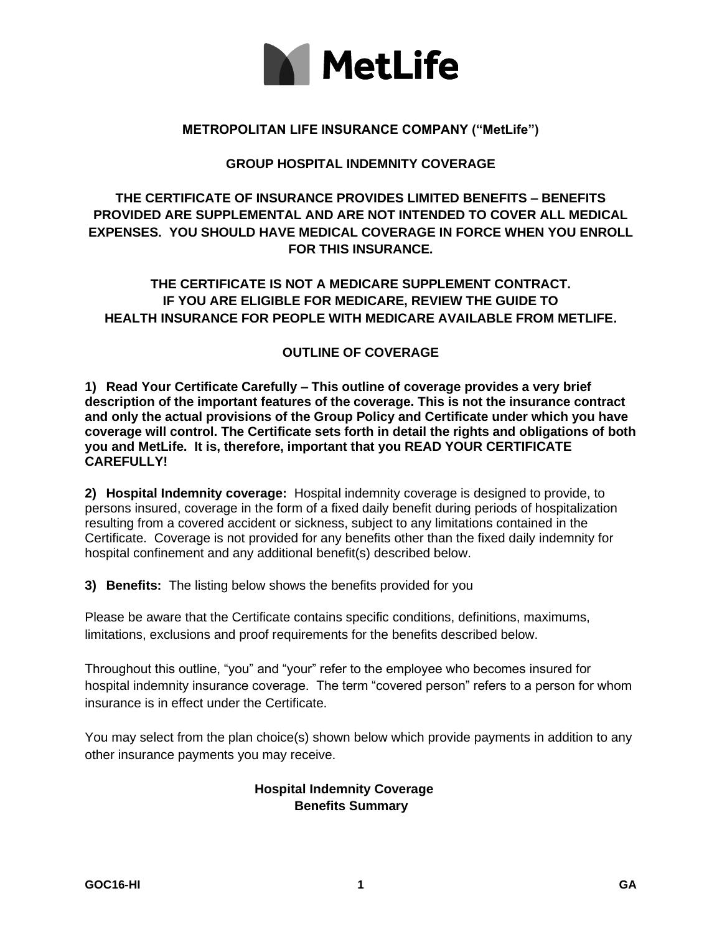

#### **METROPOLITAN LIFE INSURANCE COMPANY ("MetLife")**

#### **GROUP HOSPITAL INDEMNITY COVERAGE**

# **THE CERTIFICATE OF INSURANCE PROVIDES LIMITED BENEFITS – BENEFITS PROVIDED ARE SUPPLEMENTAL AND ARE NOT INTENDED TO COVER ALL MEDICAL EXPENSES. YOU SHOULD HAVE MEDICAL COVERAGE IN FORCE WHEN YOU ENROLL FOR THIS INSURANCE.**

# **THE CERTIFICATE IS NOT A MEDICARE SUPPLEMENT CONTRACT. IF YOU ARE ELIGIBLE FOR MEDICARE, REVIEW THE GUIDE TO HEALTH INSURANCE FOR PEOPLE WITH MEDICARE AVAILABLE FROM METLIFE.**

#### **OUTLINE OF COVERAGE**

**1) Read Your Certificate Carefully – This outline of coverage provides a very brief description of the important features of the coverage. This is not the insurance contract and only the actual provisions of the Group Policy and Certificate under which you have coverage will control. The Certificate sets forth in detail the rights and obligations of both you and MetLife. It is, therefore, important that you READ YOUR CERTIFICATE CAREFULLY!**

**2) Hospital Indemnity coverage:** Hospital indemnity coverage is designed to provide, to persons insured, coverage in the form of a fixed daily benefit during periods of hospitalization resulting from a covered accident or sickness, subject to any limitations contained in the Certificate. Coverage is not provided for any benefits other than the fixed daily indemnity for hospital confinement and any additional benefit(s) described below.

**3) Benefits:** The listing below shows the benefits provided for you

Please be aware that the Certificate contains specific conditions, definitions, maximums, limitations, exclusions and proof requirements for the benefits described below.

Throughout this outline, "you" and "your" refer to the employee who becomes insured for hospital indemnity insurance coverage. The term "covered person" refers to a person for whom insurance is in effect under the Certificate.

You may select from the plan choice(s) shown below which provide payments in addition to any other insurance payments you may receive.

### **Hospital Indemnity Coverage Benefits Summary**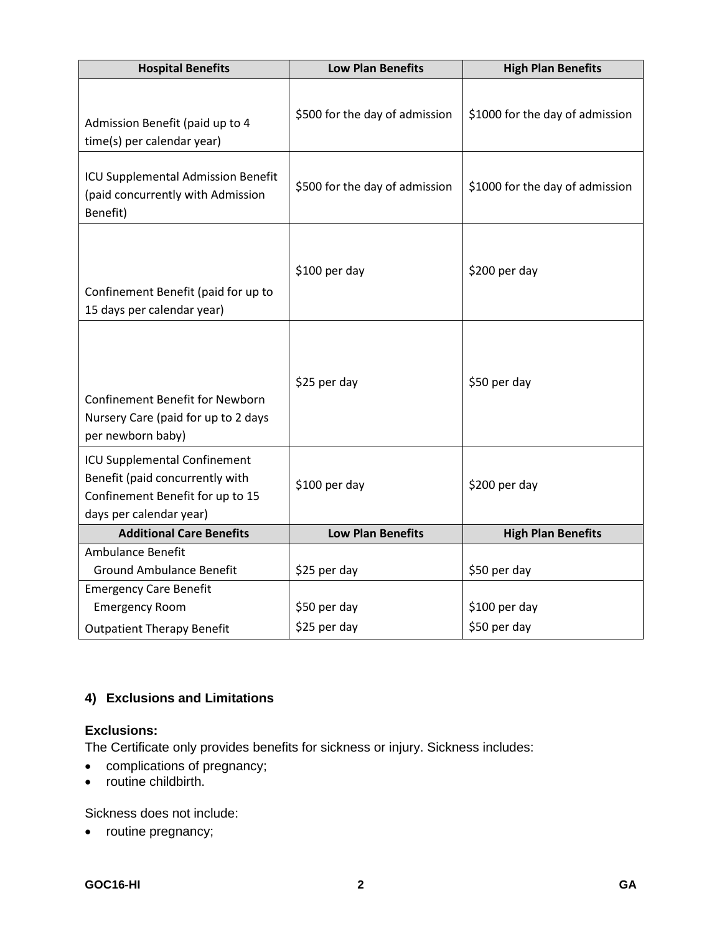| <b>Hospital Benefits</b>                                                                                                       | <b>Low Plan Benefits</b>       | <b>High Plan Benefits</b>       |
|--------------------------------------------------------------------------------------------------------------------------------|--------------------------------|---------------------------------|
| Admission Benefit (paid up to 4<br>time(s) per calendar year)                                                                  | \$500 for the day of admission | \$1000 for the day of admission |
| ICU Supplemental Admission Benefit<br>(paid concurrently with Admission<br>Benefit)                                            | \$500 for the day of admission | \$1000 for the day of admission |
| Confinement Benefit (paid for up to<br>15 days per calendar year)                                                              | \$100 per day                  | \$200 per day                   |
| <b>Confinement Benefit for Newborn</b><br>Nursery Care (paid for up to 2 days<br>per newborn baby)                             | \$25 per day                   | \$50 per day                    |
| ICU Supplemental Confinement<br>Benefit (paid concurrently with<br>Confinement Benefit for up to 15<br>days per calendar year) | \$100 per day                  | \$200 per day                   |
| <b>Additional Care Benefits</b>                                                                                                | <b>Low Plan Benefits</b>       | <b>High Plan Benefits</b>       |
| <b>Ambulance Benefit</b><br><b>Ground Ambulance Benefit</b>                                                                    | \$25 per day                   | \$50 per day                    |
| <b>Emergency Care Benefit</b><br><b>Emergency Room</b><br><b>Outpatient Therapy Benefit</b>                                    | \$50 per day<br>\$25 per day   | \$100 per day<br>\$50 per day   |

# **4) Exclusions and Limitations**

## **Exclusions:**

The Certificate only provides benefits for sickness or injury. Sickness includes:

- complications of pregnancy;
- routine childbirth.

Sickness does not include:

• routine pregnancy;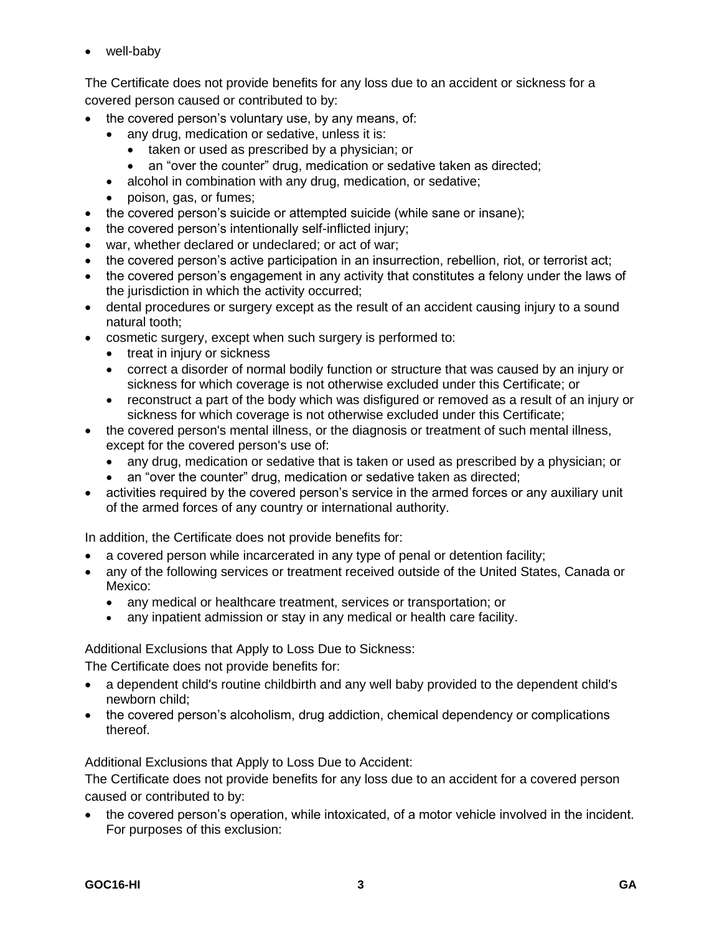• well-baby

The Certificate does not provide benefits for any loss due to an accident or sickness for a covered person caused or contributed to by:

- the covered person's voluntary use, by any means, of:
	- any drug, medication or sedative, unless it is:
		- taken or used as prescribed by a physician; or
		- an "over the counter" drug, medication or sedative taken as directed;
	- alcohol in combination with any drug, medication, or sedative;
	- poison, gas, or fumes;
- the covered person's suicide or attempted suicide (while sane or insane);
- the covered person's intentionally self-inflicted injury;
- war, whether declared or undeclared; or act of war;
- the covered person's active participation in an insurrection, rebellion, riot, or terrorist act;
- the covered person's engagement in any activity that constitutes a felony under the laws of the jurisdiction in which the activity occurred;
- dental procedures or surgery except as the result of an accident causing injury to a sound natural tooth;
- cosmetic surgery, except when such surgery is performed to:
	- treat in injury or sickness
	- correct a disorder of normal bodily function or structure that was caused by an injury or sickness for which coverage is not otherwise excluded under this Certificate; or
	- reconstruct a part of the body which was disfigured or removed as a result of an injury or sickness for which coverage is not otherwise excluded under this Certificate;
- the covered person's mental illness, or the diagnosis or treatment of such mental illness, except for the covered person's use of:
	- any drug, medication or sedative that is taken or used as prescribed by a physician; or
	- an "over the counter" drug, medication or sedative taken as directed;
- activities required by the covered person's service in the armed forces or any auxiliary unit of the armed forces of any country or international authority.

In addition, the Certificate does not provide benefits for:

- a covered person while incarcerated in any type of penal or detention facility;
- any of the following services or treatment received outside of the United States, Canada or Mexico:
	- any medical or healthcare treatment, services or transportation; or
	- any inpatient admission or stay in any medical or health care facility.

Additional Exclusions that Apply to Loss Due to Sickness:

The Certificate does not provide benefits for:

- a dependent child's routine childbirth and any well baby provided to the dependent child's newborn child;
- the covered person's alcoholism, drug addiction, chemical dependency or complications thereof.

Additional Exclusions that Apply to Loss Due to Accident:

The Certificate does not provide benefits for any loss due to an accident for a covered person caused or contributed to by:

• the covered person's operation, while intoxicated, of a motor vehicle involved in the incident. For purposes of this exclusion: